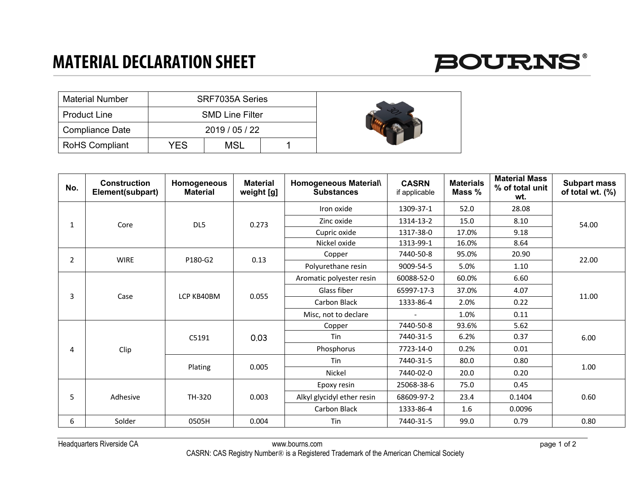## **MATERIAL DECLARATION SHEET**



| <b>Material Number</b> |     | SRF7035A Series        |  |
|------------------------|-----|------------------------|--|
| <b>Product Line</b>    |     | <b>SMD Line Filter</b> |  |
| <b>Compliance Date</b> |     | 2019/05/22             |  |
| <b>RoHS Compliant</b>  | YFS | <b>MSL</b>             |  |

| No.            | <b>Construction</b><br>Element(subpart) | Homogeneous<br><b>Material</b> | <b>Material</b><br>weight [g] | Homogeneous Material\<br><b>Substances</b> | <b>CASRN</b><br>if applicable | <b>Materials</b><br>Mass % | <b>Material Mass</b><br>% of total unit<br>wt. | <b>Subpart mass</b><br>of total wt. (%) |  |
|----------------|-----------------------------------------|--------------------------------|-------------------------------|--------------------------------------------|-------------------------------|----------------------------|------------------------------------------------|-----------------------------------------|--|
|                |                                         |                                |                               | Iron oxide                                 | 1309-37-1                     | 52.0                       | 28.08                                          |                                         |  |
| 1              | Core                                    | DL5                            | 0.273                         | Zinc oxide                                 | 1314-13-2                     | 15.0                       | 8.10                                           | 54.00                                   |  |
|                |                                         |                                |                               | Cupric oxide                               | 1317-38-0                     | 17.0%                      | 9.18                                           |                                         |  |
|                |                                         |                                |                               | Nickel oxide                               | 1313-99-1                     | 16.0%                      | 8.64                                           |                                         |  |
| $\overline{2}$ | <b>WIRE</b>                             | P180-G2                        | 0.13                          | Copper                                     | 7440-50-8                     | 95.0%                      | 20.90                                          | 22.00                                   |  |
|                |                                         |                                |                               | Polyurethane resin                         | 9009-54-5                     | 5.0%                       | 1.10                                           |                                         |  |
|                |                                         |                                |                               | Aromatic polyester resin                   | 60088-52-0                    | 60.0%                      | 6.60                                           |                                         |  |
|                |                                         | LCP KB40BM                     |                               | Glass fiber                                | 65997-17-3                    | 37.0%                      | 4.07                                           |                                         |  |
| 3              | Case                                    |                                | 0.055                         | Carbon Black                               | 1333-86-4                     | 2.0%                       | 0.22                                           | 11.00                                   |  |
|                |                                         |                                |                               | Misc, not to declare                       |                               | 1.0%                       | 0.11                                           |                                         |  |
|                |                                         |                                |                               | Copper                                     | 7440-50-8                     | 93.6%                      | 5.62                                           |                                         |  |
|                |                                         | C5191                          | 0.03                          | Tin                                        | 7440-31-5                     | 6.2%                       | 0.37                                           | 6.00                                    |  |
| 4              | Clip                                    |                                |                               | Phosphorus                                 | 7723-14-0                     | 0.2%                       | 0.01                                           |                                         |  |
|                |                                         |                                | 0.005                         | Tin                                        | 7440-31-5                     | 80.0                       | 0.80                                           |                                         |  |
|                |                                         | Plating                        |                               | Nickel                                     | 7440-02-0                     | 20.0                       | 0.20                                           | 1.00                                    |  |
|                |                                         |                                |                               | Epoxy resin                                | 25068-38-6                    | 75.0                       | 0.45                                           |                                         |  |
| 5              | Adhesive                                | TH-320                         | 0.003                         | Alkyl glycidyl ether resin                 | 68609-97-2                    | 23.4                       | 0.1404                                         | 0.60                                    |  |
|                |                                         |                                |                               | Carbon Black                               | 1333-86-4                     | 1.6                        | 0.0096                                         |                                         |  |
| 6              | Solder                                  | 0505H                          | 0.004                         | Tin                                        | 7440-31-5                     | 99.0                       | 0.79                                           | 0.80                                    |  |

Headquarters Riverside CA www.bourns.com page 1 of 2 CASRN: CAS Registry Number® is a Registered Trademark of the American Chemical Society